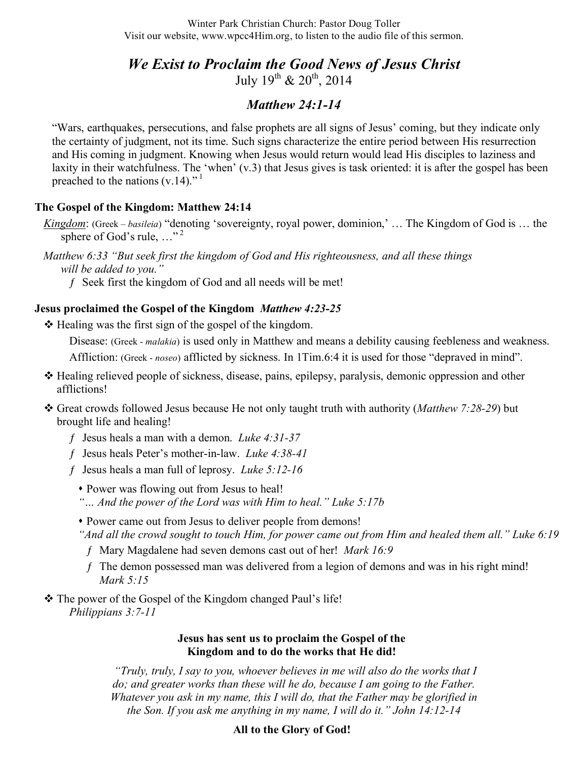Winter Park Christian Church: Pastor Doug Toller Visit our website, www.wpcc4Him.org, to listen to the audio file of this sermon.

*We Exist to Proclaim the Good News of Jesus Christ*  July  $19^{th}$  &  $20^{th}$ ,  $2014$ 

# *Matthew 24:1-14*

"Wars, earthquakes, persecutions, and false prophets are all signs of Jesus' coming, but they indicate only the certainty of judgment, not its time. Such signs characterize the entire period between His resurrection and His coming in judgment. Knowing when Jesus would return would lead His disciples to laziness and laxity in their watchfulness. The 'when' (v.3) that Jesus gives is task oriented: it is after the gospel has been preached to the nations  $(v.14)$ ."

## **The Gospel of the Kingdom: Matthew 24:14**

*Kingdom*: (Greek – *basileia*) "denoting 'sovereignty, royal power, dominion,' … The Kingdom of God is … the sphere of God's rule,  $\ldots$ <sup>2</sup>

*Matthew 6:33 "But seek first the kingdom of God and His righteousness, and all these things will be added to you."* 

ƒ Seek first the kingdom of God and all needs will be met!

## **Jesus proclaimed the Gospel of the Kingdom** *Matthew 4:23-25*

 $\triangle$  Healing was the first sign of the gospel of the kingdom.

Disease: (Greek - *malakia*) is used only in Matthew and means a debility causing feebleness and weakness. Affliction: (Greek - *noseo*) afflicted by sickness. In 1Tim.6:4 it is used for those "depraved in mind".

- Healing relieved people of sickness, disease, pains, epilepsy, paralysis, demonic oppression and other afflictions!
- Great crowds followed Jesus because He not only taught truth with authority (*Matthew 7:28-29*) but brought life and healing!
	- ƒ Jesus heals a man with a demon. *Luke 4:31-37*
	- ƒ Jesus heals Peter's mother-in-law. *Luke 4:38-41*
	- ƒ Jesus heals a man full of leprosy. *Luke 5:12-16*
		- Power was flowing out from Jesus to heal!
		- *"… And the power of the Lord was with Him to heal." Luke 5:17b*
		- Power came out from Jesus to deliver people from demons!
		- *"And all the crowd sought to touch Him, for power came out from Him and healed them all." Luke 6:19*
		- ƒ Mary Magdalene had seven demons cast out of her! *Mark 16:9*
		- f The demon possessed man was delivered from a legion of demons and was in his right mind! *Mark 5:15*

\* The power of the Gospel of the Kingdom changed Paul's life! *Philippians 3:7-11*

#### **Jesus has sent us to proclaim the Gospel of the Kingdom and to do the works that He did!**

*"Truly, truly, I say to you, whoever believes in me will also do the works that I do; and greater works than these will he do, because I am going to the Father. Whatever you ask in my name, this I will do, that the Father may be glorified in the Son. If you ask me anything in my name, I will do it." John 14:12-14*

## **All to the Glory of God!**